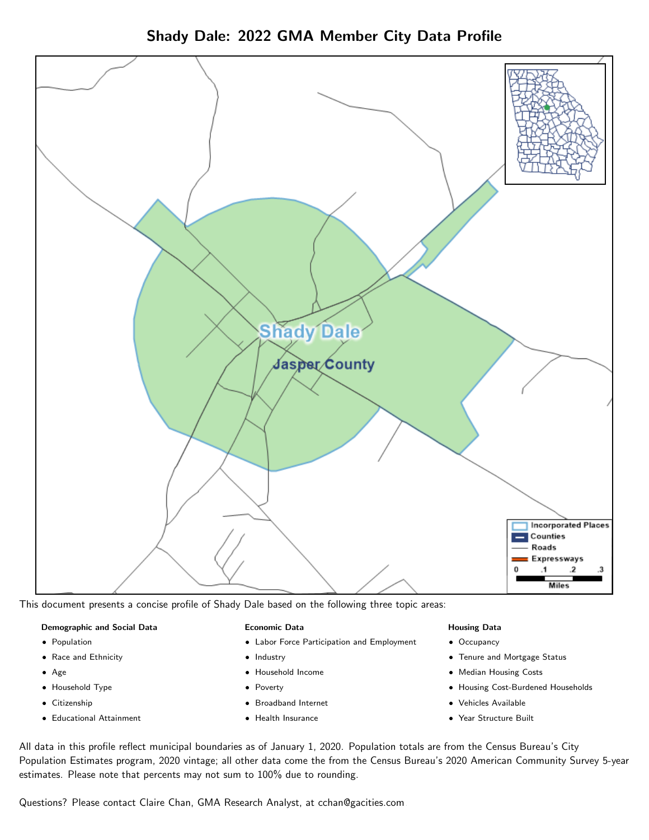Shady Dale: 2022 GMA Member City Data Profile



This document presents a concise profile of Shady Dale based on the following three topic areas:

#### Demographic and Social Data

- **•** Population
- Race and Ethnicity
- Age
- Household Type
- **Citizenship**
- Educational Attainment

#### Economic Data

- Labor Force Participation and Employment
- Industry
- Household Income
- Poverty
- Broadband Internet
- Health Insurance

#### Housing Data

- Occupancy
- Tenure and Mortgage Status
- Median Housing Costs
- Housing Cost-Burdened Households
- Vehicles Available
- Year Structure Built

All data in this profile reflect municipal boundaries as of January 1, 2020. Population totals are from the Census Bureau's City Population Estimates program, 2020 vintage; all other data come the from the Census Bureau's 2020 American Community Survey 5-year estimates. Please note that percents may not sum to 100% due to rounding.

Questions? Please contact Claire Chan, GMA Research Analyst, at [cchan@gacities.com.](mailto:cchan@gacities.com)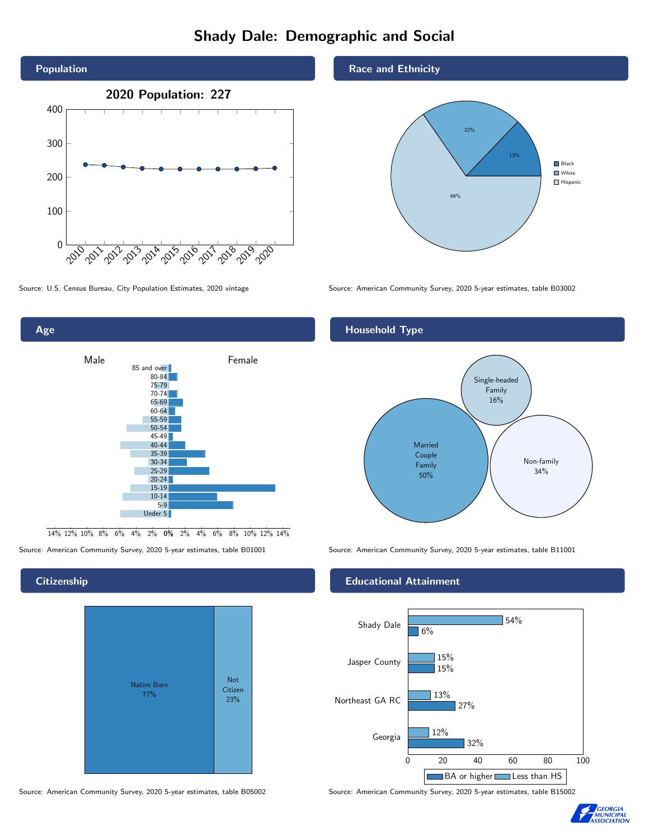# Shady Dale: Demographic and Social





0% 2% 4% 6% 8% 10% 12% 14% 14% 12% 10% 8% 6% 4% 2%

## **Citizenship**



Source: American Community Survey, 2020 5-year estimates, table B05002 Source: American Community Survey, 2020 5-year estimates, table B15002

## Race and Ethnicity



Source: U.S. Census Bureau, City Population Estimates, 2020 vintage Source: American Community Survey, 2020 5-year estimates, table B03002

## Household Type



Source: American Community Survey, 2020 5-year estimates, table B01001 Source: American Community Survey, 2020 5-year estimates, table B11001

## Educational Attainment



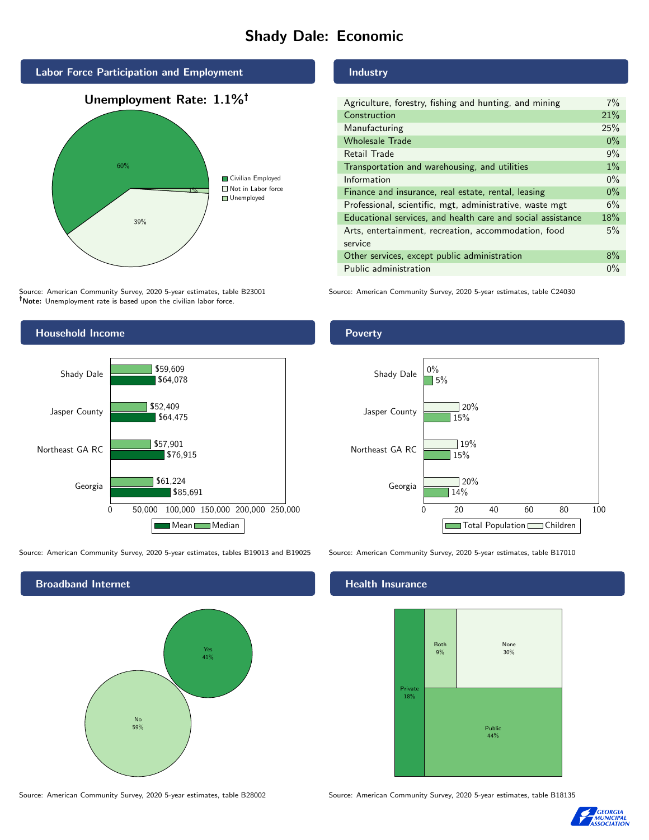# Shady Dale: Economic



Source: American Community Survey, 2020 5-year estimates, table B23001 Note: Unemployment rate is based upon the civilian labor force.



Source: American Community Survey, 2020 5-year estimates, tables B19013 and B19025 Source: American Community Survey, 2020 5-year estimates, table B17010



Source: American Community Survey, 2020 5-year estimates, table B28002 Source: American Community Survey, 2020 5-year estimates, table B18135

Industry

| Agriculture, forestry, fishing and hunting, and mining      | 7%    |
|-------------------------------------------------------------|-------|
| Construction                                                | 21%   |
| Manufacturing                                               | 25%   |
| <b>Wholesale Trade</b>                                      | $0\%$ |
| Retail Trade                                                | 9%    |
| Transportation and warehousing, and utilities               | $1\%$ |
| Information                                                 | $0\%$ |
| Finance and insurance, real estate, rental, leasing         | $0\%$ |
| Professional, scientific, mgt, administrative, waste mgt    | 6%    |
| Educational services, and health care and social assistance | 18%   |
| Arts, entertainment, recreation, accommodation, food        | 5%    |
| service                                                     |       |
| Other services, except public administration                | 8%    |
| Public administration                                       | $0\%$ |

Source: American Community Survey, 2020 5-year estimates, table C24030

Poverty



### Health Insurance